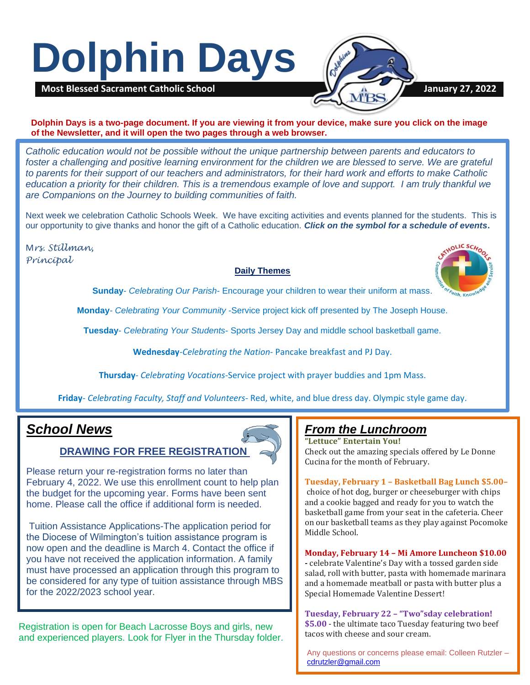# **Dolphin Days**



**Dolphin Days is a two-page document. If you are viewing it from your device, make sure you click on the image of the Newsletter, and it will open the two pages through a web browser.**

*Catholic education would not be possible without the unique partnership between parents and educators to*  foster a challenging and positive learning environment for the children we are blessed to serve. We are grateful *to parents for their support of our teachers and administrators, for their hard work and efforts to make Catholic education a priority for their children. This is a tremendous example of love and support. I am truly thankful we are Companions on the Journey to building communities of faith.*

Next week we celebration Catholic Schools Week. We have exciting activities and events planned for the students. This is our opportunity to give thanks and honor the gift of a Catholic education. *Click on the symbol for a schedule of events***.**

M*rs. Stillman, Principal*

### **Daily Themes**



**Sunday**- *Celebrating Our Parish*- Encourage your children to wear their uniform at mass.

**Monday***- Celebrating Your Community* -Service project kick off presented by The Joseph House.

**Tuesday**- *Celebrating Your Students*- Sports Jersey Day and middle school basketball game.

**Wednesday**-*Celebrating the Nation*- Pancake breakfast and PJ Day.

**Thursday**- *Celebrating Vocations*-Service project with prayer buddies and 1pm Mass.

**Friday***- Celebrating Faculty, Staff and Volunteers*- Red, white, and blue dress day. Olympic style game day.

## *School News*

## **DRAWING FOR FREE REGISTRATION**

Please return your re-registration forms no later than February 4, 2022. We use this enrollment count to help plan the budget for the upcoming year. Forms have been sent home. Please call the office if additional form is needed.

Tuition Assistance Applications-The application period for the Diocese of Wilmington's tuition assistance program is now open and the deadline is March 4. Contact the office if you have not received the application information. A family must have processed an application through this program to [be considered for any type of tuition assistance through MBS](file:///C:/Users/cgunther/OneDrive - Most Blessed Sacrament Catholic School/Documents/Documents/2020-2021 School year/Re-Registration Form 21-22-final.htm)  for the 2022/2023 school year.

Registration is open for Beach Lacrosse Boys and girls, new and experienced players. Look for Flyer in the Thursday folder.

## *From the Lunchroom*

**"Lettuce" Entertain You!** Check out the amazing specials offered by Le Donne Cucina for the month of February.

**Tuesday, February 1 – Basketball Bag Lunch \$5.00–** choice of hot dog, burger or cheeseburger with chips and a cookie bagged and ready for you to watch the basketball game from your seat in the cafeteria. Cheer on our basketball teams as they play against Pocomoke Middle School.

**Monday, February 14 – Mi Amore Luncheon \$10.00**

**-** celebrate Valentine's Day with a tossed garden side salad, roll with butter, pasta with homemade marinara and a homemade meatball or pasta with butter plus a Special Homemade Valentine Dessert!

**Tuesday, February 22 – "Two"sday celebration! \$5.00** - the ultimate taco Tuesday featuring two beef tacos with cheese and sour cream.

Any questions or concerns please email: Colleen Rutzler – [cdrutzler@gmail.com](mailto:cdrutzler@gmail.com)